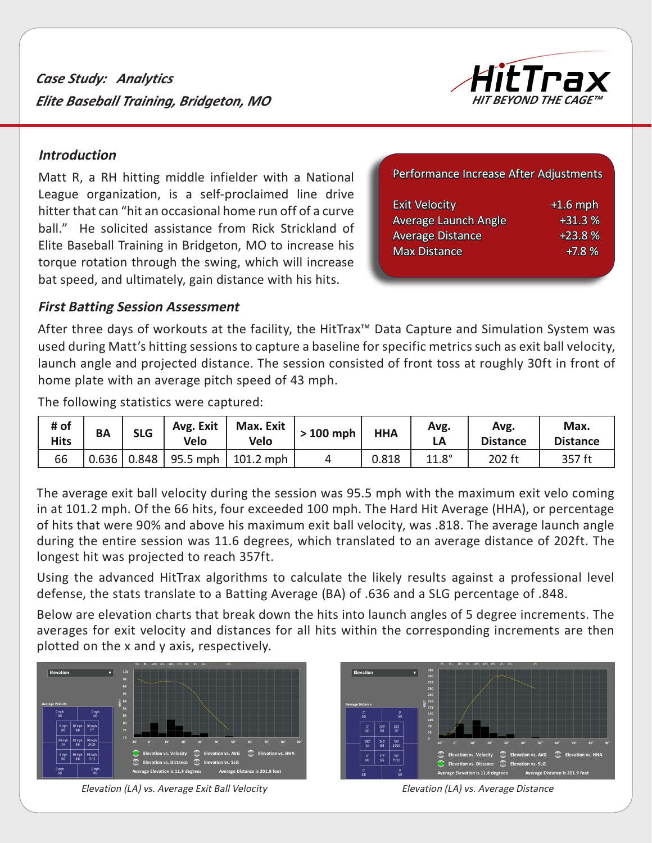*Case Study: Analytics Elite Baseball Training, Bridgeton, MO*



#### **Introduction**

Matt R, a RH hitting middle infielder with a National League organization, is a self-proclaimed line drive hitter that can "hit an occasional home run off of a curve ball." He solicited assistance from Rick Strickland of Elite Baseball Training in Bridgeton, MO to increase his torque rotation through the swing, which will increase bat speed, and ultimately, gain distance with his hits.

Performance Increase After Adjustments

| <b>Exit Velocity</b>    | $+1.6$ mph |
|-------------------------|------------|
| Average Launch Angle    | $+31.3%$   |
| <b>Average Distance</b> | $+23.8%$   |
| <b>Max Distance</b>     | $+7.8%$    |
|                         |            |

#### **First Batting Session Assessment**

After three days of workouts at the facility, the HitTrax™ Data Capture and Simulation System was used during Matt's hitting sessions to capture a baseline for specific metrics such as exit ball velocity, launch angle and projected distance. The session consisted of front toss at roughly 30ft in front of home plate with an average pitch speed of 43 mph.

The following statistics were captured:

| # of<br><b>Hits</b> | ΒA    | <b>SLG</b> | Avg. Exit<br><b>Velo</b> | Max. Exit<br><b>Velo</b> | $>100$ mph | <b>HHA</b> | Avg.<br>LΑ   | Avg.<br><b>Distance</b> | Max.<br><b>Distance</b> |
|---------------------|-------|------------|--------------------------|--------------------------|------------|------------|--------------|-------------------------|-------------------------|
| 66                  | 0.636 | 0.848      | 95.5 mph                 | $101.2$ mph              |            | 0.818      | $11.8^\circ$ | 202 ft                  | 357 ft                  |

The average exit ball velocity during the session was 95.5 mph with the maximum exit velo coming in at 101.2 mph. Of the 66 hits, four exceeded 100 mph. The Hard Hit Average (HHA), or percentage of hits that were 90% and above his maximum exit ball velocity, was .818. The average launch angle during the entire session was 11.6 degrees, which translated to an average distance of 202ft. The longest hit was projected to reach 357ft.

Using the advanced HitTrax algorithms to calculate the likely results against a professional level defense, the stats translate to a Batting Average (BA) of .636 and a SLG percentage of .848.

Below are elevation charts that break down the hits into launch angles of 5 degree increments. The averages for exit velocity and distances for all hits within the corresponding increments are then plotted on the x and y axis, respectively.



Elevation (LA) vs. Average Exit Ball Velocity Elevation (LA) vs. Average Distance

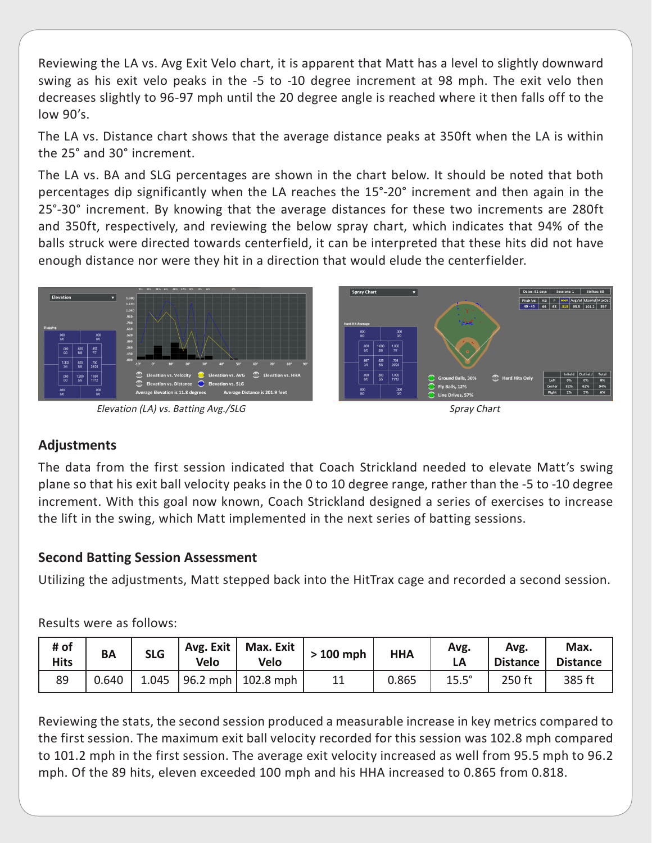Reviewing the LA vs. Avg Exit Velo chart, it is apparent that Matt has a level to slightly downward swing as his exit velo peaks in the -5 to -10 degree increment at 98 mph. The exit velo then decreases slightly to 96-97 mph until the 20 degree angle is reached where it then falls off to the low 90's.

The LA vs. Distance chart shows that the average distance peaks at 350ft when the LA is within the 25° and 30° increment.

The LA vs. BA and SLG percentages are shown in the chart below. It should be noted that both percentages dip significantly when the LA reaches the 15°-20° increment and then again in the 25°-30° increment. By knowing that the average distances for these two increments are 280ft and 350ft, respectively, and reviewing the below spray chart, which indicates that 94% of the balls struck were directed towards centerfield, it can be interpreted that these hits did not have enough distance nor were they hit in a direction that would elude the centerfielder.



Elevation (LA) vs. Batting Avg./SLG Spray Chart Spray Chart



# **Adjustments**

The data from the first session indicated that Coach Strickland needed to elevate Matt's swing plane so that his exit ball velocity peaks in the 0 to 10 degree range, rather than the -5 to -10 degree increment. With this goal now known, Coach Strickland designed a series of exercises to increase the lift in the swing, which Matt implemented in the next series of batting sessions.

## **Second Batting Session Assessment**

Utilizing the adjustments, Matt stepped back into the HitTrax cage and recorded a second session.

## Results were as follows:

| # of<br><b>Hits</b> | BA    | <b>SLG</b> | Avg. Exit<br><b>Velo</b> | Max. Exit<br>Velo                  | $>100$ mph | <b>HHA</b> | Avg.         | Avg.<br><b>Distance</b> | Max.<br><b>Distance</b> |
|---------------------|-------|------------|--------------------------|------------------------------------|------------|------------|--------------|-------------------------|-------------------------|
| 89                  | 0.640 | 1.045      |                          | $\vert$ 96.2 mph $\vert$ 102.8 mph | 11         | 0.865      | $15.5^\circ$ | 250 ft                  | 385 ft                  |

Reviewing the stats, the second session produced a measurable increase in key metrics compared to the first session. The maximum exit ball velocity recorded for this session was 102.8 mph compared to 101.2 mph in the first session. The average exit velocity increased as well from 95.5 mph to 96.2 mph. Of the 89 hits, eleven exceeded 100 mph and his HHA increased to 0.865 from 0.818.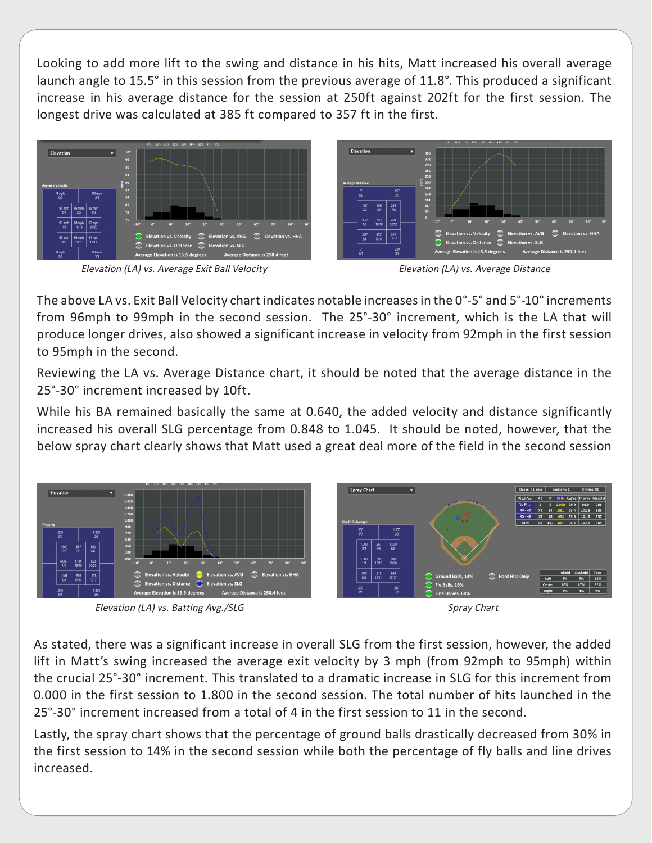Looking to add more lift to the swing and distance in his hits, Matt increased his overall average launch angle to 15.5° in this session from the previous average of 11.8°. This produced a significant increase in his average distance for the session at 250ft against 202ft for the first session. The longest drive was calculated at 385 ft compared to 357 ft in the first.



Elevation (LA) vs. Average Exit Ball Velocity Elevation (LA) vs. Average Distance



The above LA vs. Exit Ball Velocity chart indicates notable increases in the 0°-5° and 5°-10° increments from 96mph to 99mph in the second session. The 25°-30° increment, which is the LA that will produce longer drives, also showed a significant increase in velocity from 92mph in the first session to 95mph in the second.

Reviewing the LA vs. Average Distance chart, it should be noted that the average distance in the 25°-30° increment increased by 10ft.

While his BA remained basically the same at 0.640, the added velocity and distance significantly increased his overall SLG percentage from 0.848 to 1.045. It should be noted, however, that the below spray chart clearly shows that Matt used a great deal more of the field in the second session



Elevation (LA) vs. Batting Avg./SLG Spray Chart Spray Chart



As stated, there was a significant increase in overall SLG from the first session, however, the added lift in Matt's swing increased the average exit velocity by 3 mph (from 92mph to 95mph) within the crucial 25°-30° increment. This translated to a dramatic increase in SLG for this increment from 0.000 in the first session to 1.800 in the second session. The total number of hits launched in the 25°-30° increment increased from a total of 4 in the first session to 11 in the second.

Lastly, the spray chart shows that the percentage of ground balls drastically decreased from 30% in the first session to 14% in the second session while both the percentage of fly balls and line drives increased.